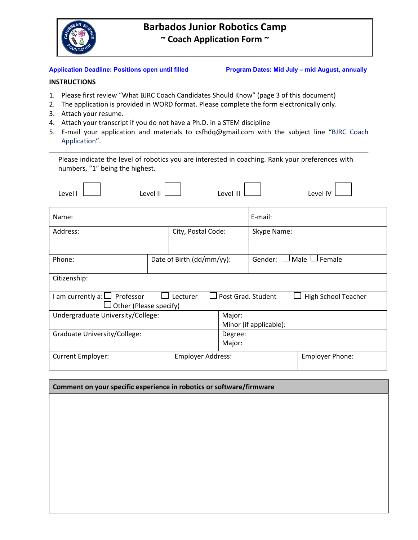

# **Barbados Junior Robotics Camp ~ Coach Application Form ~**

Application Deadline: Positions open until filled Program Dates: Mid July – mid August, annually

## **INSTRUCTIONS**

- 1. Please first review "What BJRC Coach Candidates Should Know" (page 3 of this document)
- 2. The application is provided in WORD format. Please complete the form electronically only.
- 3. Attach your resume.
- 4. Attach your transcript if you do not have a Ph.D. in a STEM discipline
- 5. E-mail your application and materials to csfhdq@gmail.com with the subject line "BJRC Coach Application".

Please indicate the level of robotics you are interested in coaching. Rank your preferences with numbers, "1" being the highest.

| Level I                                                                                                               | Level II                  |                                  | Level III                     |                        | Level IV |
|-----------------------------------------------------------------------------------------------------------------------|---------------------------|----------------------------------|-------------------------------|------------------------|----------|
| Name:                                                                                                                 |                           |                                  |                               | E-mail:                |          |
| Address:                                                                                                              |                           | City, Postal Code:               |                               | Skype Name:            |          |
| Phone:                                                                                                                | Date of Birth (dd/mm/yy): |                                  | Male $\Box$ Female<br>Gender: |                        |          |
| Citizenship:                                                                                                          |                           |                                  |                               |                        |          |
| Post Grad. Student<br>I am currently a: $\Box$ Professor<br>Lecturer<br>High School Teacher<br>Other (Please specify) |                           |                                  |                               |                        |          |
| Undergraduate University/College:                                                                                     |                           | Major:<br>Minor (if applicable): |                               |                        |          |
| Graduate University/College:                                                                                          |                           | Degree:<br>Major:                |                               |                        |          |
| Current Employer:<br><b>Employer Address:</b>                                                                         |                           |                                  |                               | <b>Employer Phone:</b> |          |

| Comment on your specific experience in robotics or software/firmware |  |  |
|----------------------------------------------------------------------|--|--|
|                                                                      |  |  |
|                                                                      |  |  |
|                                                                      |  |  |
|                                                                      |  |  |
|                                                                      |  |  |
|                                                                      |  |  |
|                                                                      |  |  |
|                                                                      |  |  |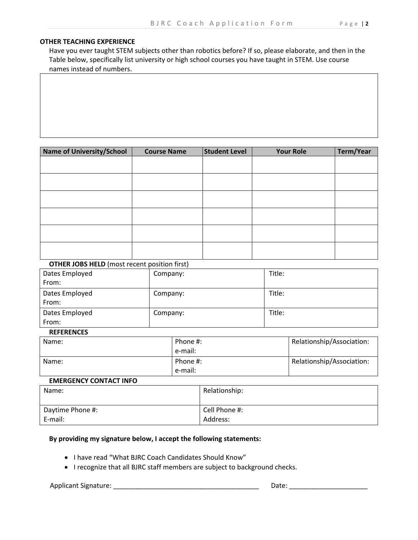#### **OTHER TEACHING EXPERIENCE**

Have you ever taught STEM subjects other than robotics before? If so, please elaborate, and then in the Table below, specifically list university or high school courses you have taught in STEM. Use course names instead of numbers.

| <b>Name of University/School</b> | <b>Course Name</b> | <b>Student Level</b> | <b>Your Role</b> | Term/Year |
|----------------------------------|--------------------|----------------------|------------------|-----------|
|                                  |                    |                      |                  |           |
|                                  |                    |                      |                  |           |
|                                  |                    |                      |                  |           |
|                                  |                    |                      |                  |           |
|                                  |                    |                      |                  |           |
|                                  |                    |                      |                  |           |
|                                  |                    |                      |                  |           |
|                                  |                    |                      |                  |           |
|                                  |                    |                      |                  |           |
|                                  |                    |                      |                  |           |
|                                  |                    |                      |                  |           |
|                                  |                    |                      |                  |           |

### **OTHER JOBS HELD** (most recent position first)

| Dates Employed | Company: | Title: |
|----------------|----------|--------|
| From:          |          |        |
| Dates Employed | Company: | Title: |
| From:          |          |        |
| Dates Employed | Company: | Title: |
| From:          |          |        |

#### **REFERENCES**

| Name: | Phone #:<br>e-mail: | Relationship/Association: |
|-------|---------------------|---------------------------|
| Name: | Phone #:<br>e-mail: | Relationship/Association: |

#### **EMERGENCY CONTACT INFO**

| Name:            | Relationship: |
|------------------|---------------|
|                  |               |
| Daytime Phone #: | Cell Phone #: |
| E-mail:          | Address:      |

### **By providing my signature below, I accept the following statements:**

- I have read "What BJRC Coach Candidates Should Know"
- I recognize that all BJRC staff members are subject to background checks.

Applicant Signature: \_\_\_\_\_\_\_\_\_\_\_\_\_\_\_\_\_\_\_\_\_\_\_\_\_\_\_\_\_\_\_\_\_\_\_\_\_\_\_ Date: \_\_\_\_\_\_\_\_\_\_\_\_\_\_\_\_\_\_\_\_\_